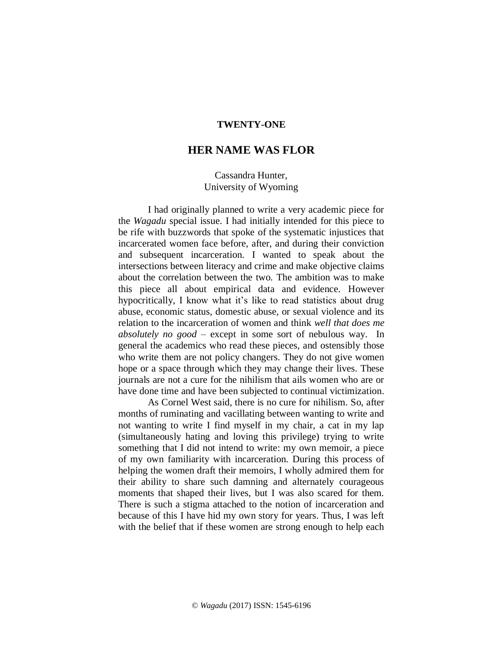## **TWENTY-ONE**

## **HER NAME WAS FLOR**

## Cassandra Hunter, University of Wyoming

I had originally planned to write a very academic piece for the *Wagadu* special issue. I had initially intended for this piece to be rife with buzzwords that spoke of the systematic injustices that incarcerated women face before, after, and during their conviction and subsequent incarceration. I wanted to speak about the intersections between literacy and crime and make objective claims about the correlation between the two. The ambition was to make this piece all about empirical data and evidence. However hypocritically, I know what it's like to read statistics about drug abuse, economic status, domestic abuse, or sexual violence and its relation to the incarceration of women and think *well that does me absolutely no good* – except in some sort of nebulous way. In general the academics who read these pieces, and ostensibly those who write them are not policy changers. They do not give women hope or a space through which they may change their lives. These journals are not a cure for the nihilism that ails women who are or have done time and have been subjected to continual victimization.

As Cornel West said, there is no cure for nihilism. So, after months of ruminating and vacillating between wanting to write and not wanting to write I find myself in my chair, a cat in my lap (simultaneously hating and loving this privilege) trying to write something that I did not intend to write: my own memoir, a piece of my own familiarity with incarceration. During this process of helping the women draft their memoirs, I wholly admired them for their ability to share such damning and alternately courageous moments that shaped their lives, but I was also scared for them. There is such a stigma attached to the notion of incarceration and because of this I have hid my own story for years. Thus, I was left with the belief that if these women are strong enough to help each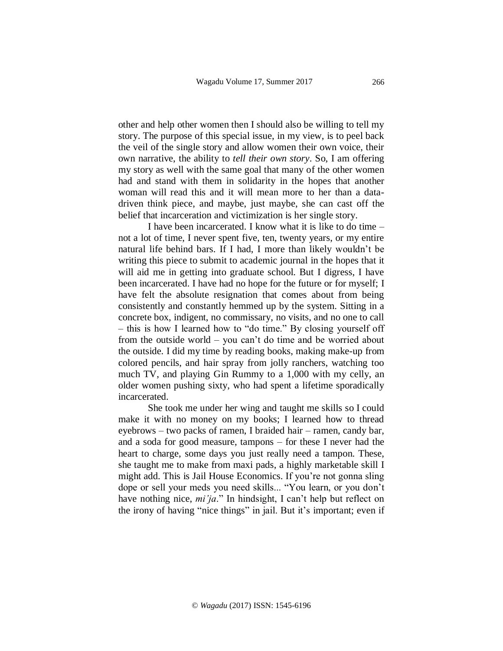other and help other women then I should also be willing to tell my story. The purpose of this special issue, in my view, is to peel back the veil of the single story and allow women their own voice, their own narrative, the ability to *tell their own story*. So, I am offering my story as well with the same goal that many of the other women had and stand with them in solidarity in the hopes that another woman will read this and it will mean more to her than a datadriven think piece, and maybe, just maybe, she can cast off the belief that incarceration and victimization is her single story.

I have been incarcerated. I know what it is like to do time – not a lot of time, I never spent five, ten, twenty years, or my entire natural life behind bars. If I had, I more than likely wouldn't be writing this piece to submit to academic journal in the hopes that it will aid me in getting into graduate school. But I digress, I have been incarcerated. I have had no hope for the future or for myself; I have felt the absolute resignation that comes about from being consistently and constantly hemmed up by the system. Sitting in a concrete box, indigent, no commissary, no visits, and no one to call – this is how I learned how to "do time." By closing yourself off from the outside world – you can't do time and be worried about the outside. I did my time by reading books, making make-up from colored pencils, and hair spray from jolly ranchers, watching too much TV, and playing Gin Rummy to a 1,000 with my celly, an older women pushing sixty, who had spent a lifetime sporadically incarcerated.

She took me under her wing and taught me skills so I could make it with no money on my books; I learned how to thread eyebrows – two packs of ramen, I braided hair – ramen, candy bar, and a soda for good measure, tampons – for these I never had the heart to charge, some days you just really need a tampon. These, she taught me to make from maxi pads, a highly marketable skill I might add. This is Jail House Economics. If you're not gonna sling dope or sell your meds you need skills... "You learn, or you don't have nothing nice, *mi'ja*." In hindsight, I can't help but reflect on the irony of having "nice things" in jail. But it's important; even if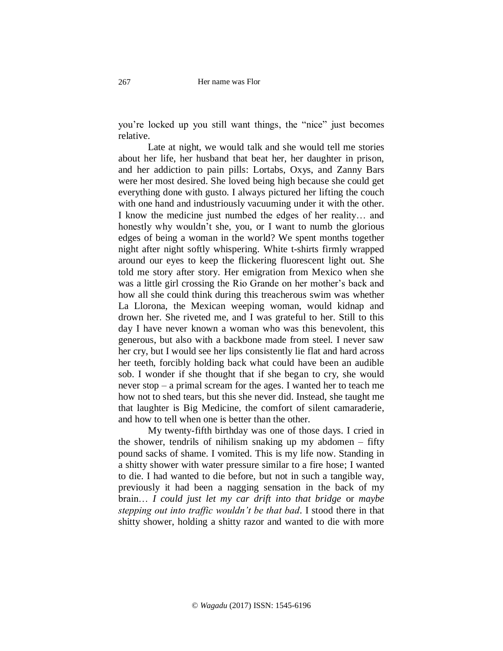you're locked up you still want things, the "nice" just becomes relative.

Late at night, we would talk and she would tell me stories about her life, her husband that beat her, her daughter in prison, and her addiction to pain pills: Lortabs, Oxys, and Zanny Bars were her most desired. She loved being high because she could get everything done with gusto. I always pictured her lifting the couch with one hand and industriously vacuuming under it with the other. I know the medicine just numbed the edges of her reality… and honestly why wouldn't she, you, or I want to numb the glorious edges of being a woman in the world? We spent months together night after night softly whispering. White t-shirts firmly wrapped around our eyes to keep the flickering fluorescent light out. She told me story after story. Her emigration from Mexico when she was a little girl crossing the Rio Grande on her mother's back and how all she could think during this treacherous swim was whether La Llorona, the Mexican weeping woman, would kidnap and drown her. She riveted me, and I was grateful to her. Still to this day I have never known a woman who was this benevolent, this generous, but also with a backbone made from steel. I never saw her cry, but I would see her lips consistently lie flat and hard across her teeth, forcibly holding back what could have been an audible sob. I wonder if she thought that if she began to cry, she would never stop – a primal scream for the ages. I wanted her to teach me how not to shed tears, but this she never did. Instead, she taught me that laughter is Big Medicine, the comfort of silent camaraderie, and how to tell when one is better than the other.

My twenty-fifth birthday was one of those days. I cried in the shower, tendrils of nihilism snaking up my abdomen – fifty pound sacks of shame. I vomited. This is my life now. Standing in a shitty shower with water pressure similar to a fire hose; I wanted to die. I had wanted to die before, but not in such a tangible way, previously it had been a nagging sensation in the back of my brain… *I could just let my car drift into that bridge* or *maybe stepping out into traffic wouldn't be that bad*. I stood there in that shitty shower, holding a shitty razor and wanted to die with more

267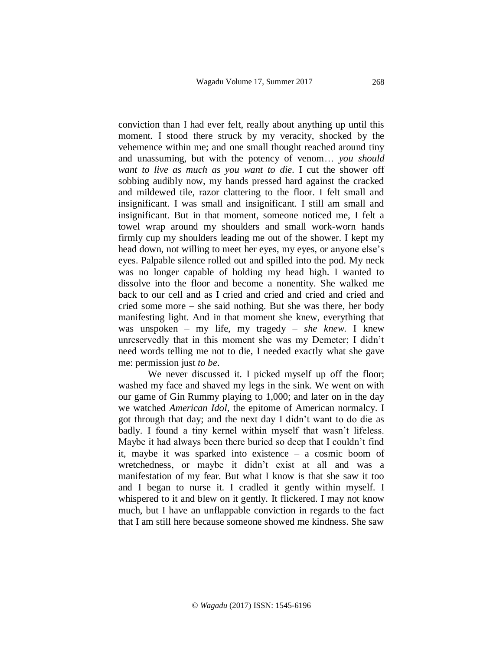conviction than I had ever felt, really about anything up until this moment. I stood there struck by my veracity, shocked by the vehemence within me; and one small thought reached around tiny and unassuming, but with the potency of venom… *you should want to live as much as you want to die*. I cut the shower off sobbing audibly now, my hands pressed hard against the cracked and mildewed tile, razor clattering to the floor. I felt small and insignificant. I was small and insignificant. I still am small and insignificant. But in that moment, someone noticed me, I felt a towel wrap around my shoulders and small work-worn hands firmly cup my shoulders leading me out of the shower. I kept my head down, not willing to meet her eyes, my eyes, or anyone else's eyes. Palpable silence rolled out and spilled into the pod. My neck was no longer capable of holding my head high. I wanted to dissolve into the floor and become a nonentity. She walked me back to our cell and as I cried and cried and cried and cried and cried some more – she said nothing. But she was there, her body manifesting light. And in that moment she knew, everything that was unspoken – my life, my tragedy – *she knew*. I knew unreservedly that in this moment she was my Demeter; I didn't need words telling me not to die, I needed exactly what she gave me: permission just *to be*.

We never discussed it. I picked myself up off the floor; washed my face and shaved my legs in the sink. We went on with our game of Gin Rummy playing to 1,000; and later on in the day we watched *American Idol*, the epitome of American normalcy. I got through that day; and the next day I didn't want to do die as badly. I found a tiny kernel within myself that wasn't lifeless. Maybe it had always been there buried so deep that I couldn't find it, maybe it was sparked into existence – a cosmic boom of wretchedness, or maybe it didn't exist at all and was a manifestation of my fear. But what I know is that she saw it too and I began to nurse it. I cradled it gently within myself. I whispered to it and blew on it gently. It flickered. I may not know much, but I have an unflappable conviction in regards to the fact that I am still here because someone showed me kindness. She saw